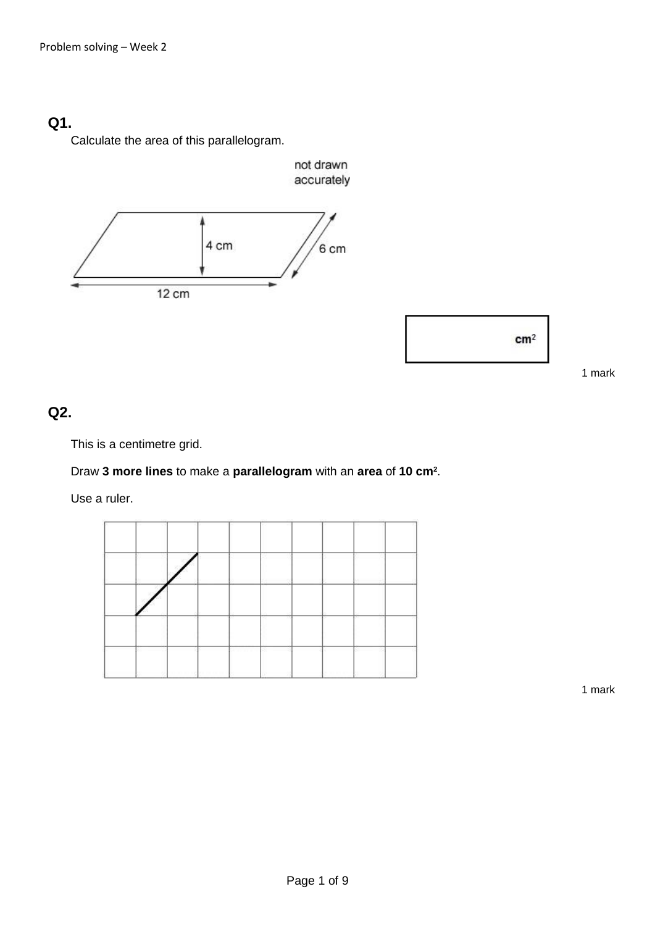# **Q1.**

Calculate the area of this parallelogram.





1 mark

## **Q2.**

This is a centimetre grid.

#### Draw **3 more lines** to make a **parallelogram** with an **area** of **10 cm<sup>2</sup>** .

Use a ruler.

|     |                  | the company of the company of |  |
|-----|------------------|-------------------------------|--|
|     |                  |                               |  |
|     |                  |                               |  |
| - 7 | <b>TERRITORY</b> |                               |  |
|     |                  |                               |  |

1 mark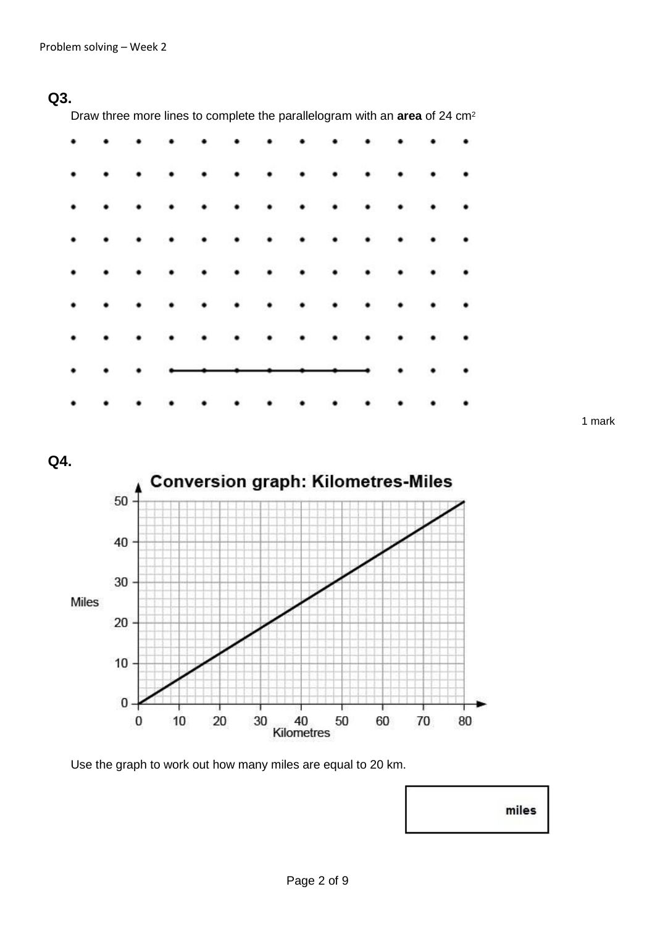## **Q3.**

Draw three more lines to complete the parallelogram with an **area** of 24 cm<sup>2</sup>

|                      |           |           |                      | .                    |           |                 |         |           |                      |                         |                 |                 |
|----------------------|-----------|-----------|----------------------|----------------------|-----------|-----------------|---------|-----------|----------------------|-------------------------|-----------------|-----------------|
| $\bullet$            |           |           | $\cdot$              | $\cdot$              | $\cdot$   | $\cdot$         | $\cdot$ | $\bullet$ | $\ddot{\phantom{0}}$ |                         | $\cdot$ $\cdot$ |                 |
| $\ddotsc$            |           | $\cdot$   | $\ddot{\phantom{1}}$ | $\ddot{\phantom{1}}$ |           |                 |         | .         |                      |                         |                 |                 |
| $\ddot{\phantom{0}}$ |           | $\bullet$ | $\bullet$            | $\bullet$            | $\bullet$ | $\cdot$ $\cdot$ |         | $\cdots$  |                      |                         |                 |                 |
| $\ddot{\phantom{0}}$ | $\ddotsc$ |           | $\bullet$            | $\cdot$              | $\cdot$   |                 |         | .         |                      |                         |                 |                 |
| $\ddot{\phantom{0}}$ |           | $\bullet$ | $\bullet$            | $\ddot{\phantom{1}}$ |           |                 |         |           |                      |                         |                 |                 |
| $\ddot{\phantom{0}}$ |           | $\bullet$ | $\bullet$            | $\bullet$            |           |                 |         | .         |                      | $\cdot$ $\cdot$ $\cdot$ |                 |                 |
| $\bullet$            |           |           |                      | $\cdots$             |           |                 |         |           |                      |                         |                 | $\cdot$ $\cdot$ |
| $\ddot{\phantom{0}}$ |           | $\bullet$ | $\bullet$            | $\bullet$            |           |                 |         |           |                      |                         |                 |                 |

1 mark

**Q4.**



Use the graph to work out how many miles are equal to 20 km.

| miles             |
|-------------------|
| <b>CONTRACTOR</b> |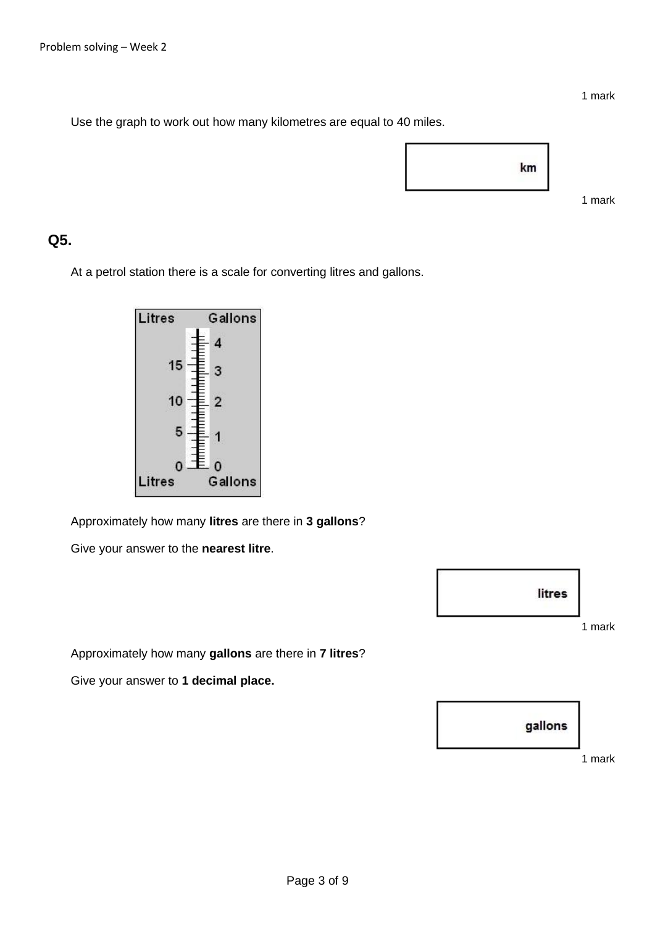1 mark

1 mark

Use the graph to work out how many kilometres are equal to 40 miles.



### **Q5.**

At a petrol station there is a scale for converting litres and gallons.



Approximately how many **litres** are there in **3 gallons**?

Give your answer to the **nearest litre**.



Approximately how many **gallons** are there in **7 litres**?

Give your answer to **1 decimal place.**



1 mark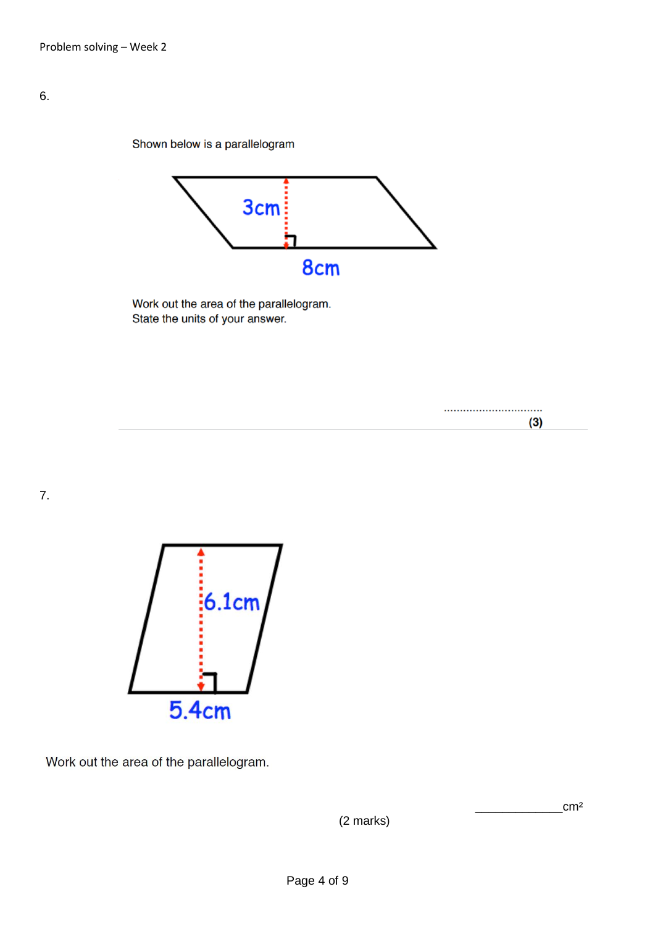Shown below is a parallelogram



Work out the area of the parallelogram. State the units of your answer.

7.



Work out the area of the parallelogram.

(2 marks)

 $\text{cm}^2$ 

.............................

 $(3)$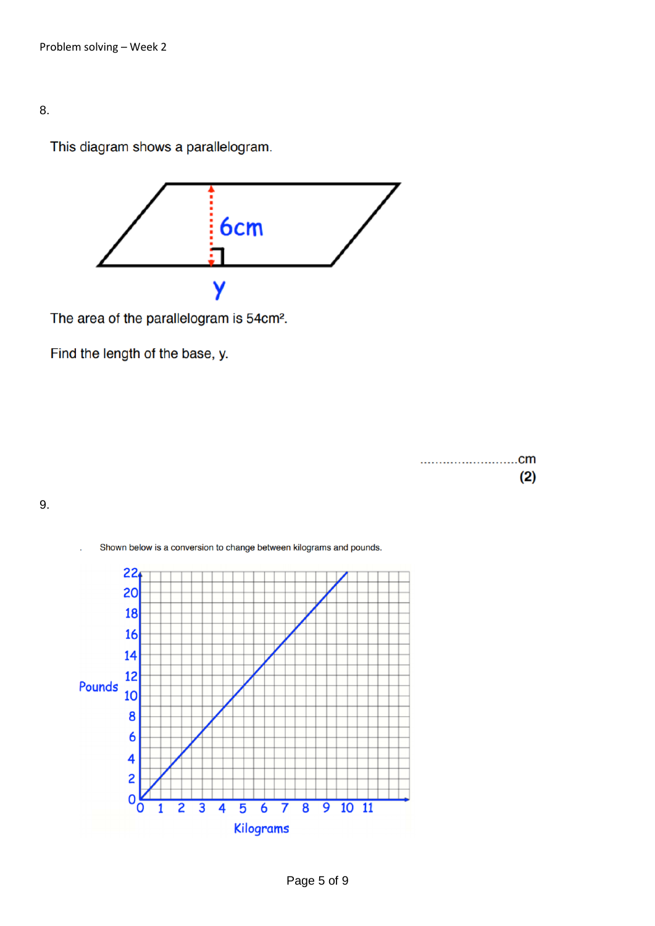#### 8.

This diagram shows a parallelogram.



The area of the parallelogram is 54cm<sup>2</sup>.

Find the length of the base, y.

|  |  |  |  |  |  |  |  |  |  |  |  |  |  | (2) |  |
|--|--|--|--|--|--|--|--|--|--|--|--|--|--|-----|--|

9.

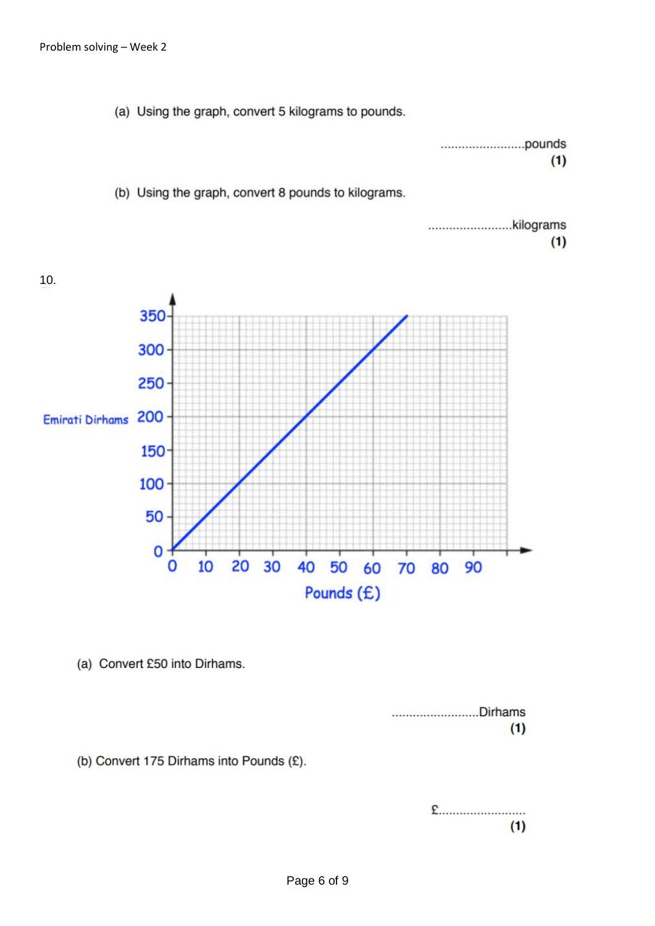(a) Using the graph, convert 5 kilograms to pounds.

|  |  |  |  |  |  |  |  |  |  |  |  |  |  |  |  |  |  |  | (1) |  |  |
|--|--|--|--|--|--|--|--|--|--|--|--|--|--|--|--|--|--|--|-----|--|--|



(a) Convert £50 into Dirhams.



(b) Convert 175 Dirhams into Pounds (£).

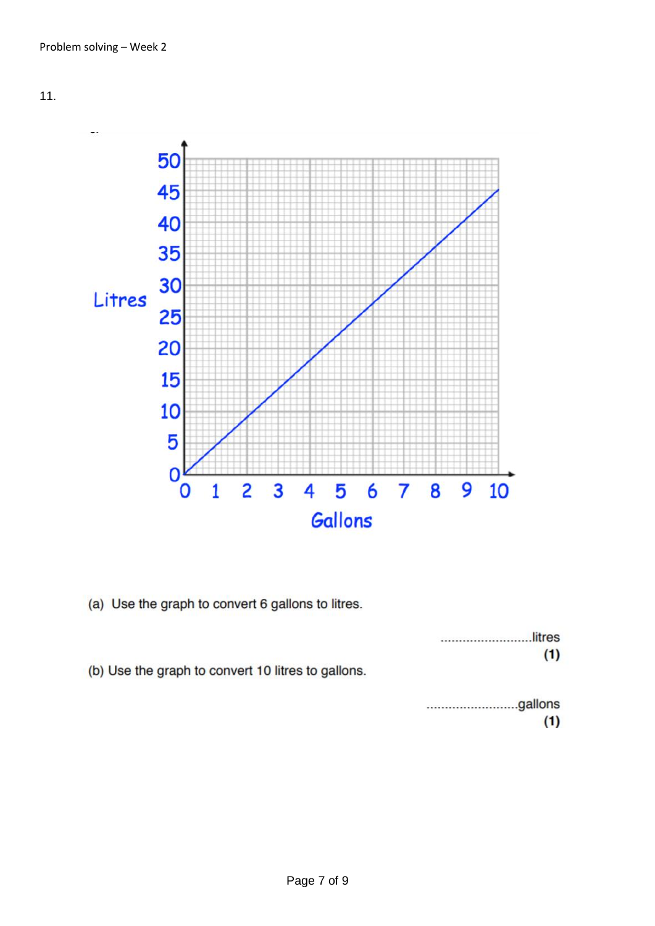

(a) Use the graph to convert 6 gallons to litres.

|                                                    | litres |
|----------------------------------------------------|--------|
|                                                    | (1)    |
| (b) Use the graph to convert 10 litres to gallons. |        |
|                                                    |        |

|  |  |  |  |  |  |  |  |  |  |  |  |  |  |  |  |  | (1) |  |
|--|--|--|--|--|--|--|--|--|--|--|--|--|--|--|--|--|-----|--|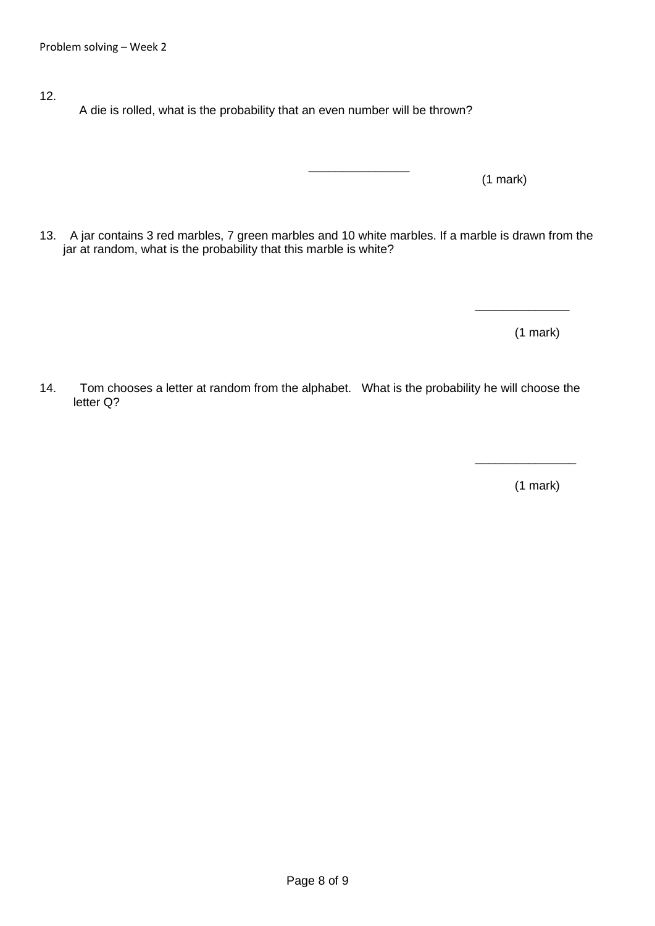- 12.
- A die is rolled, what is the probability that an even number will be thrown?

 $\mathcal{L}_\mathcal{L}$  , which is a set of the set of the set of the set of the set of the set of the set of the set of the set of the set of the set of the set of the set of the set of the set of the set of the set of the set of

(1 mark)

13. A jar contains 3 red marbles, 7 green marbles and 10 white marbles. If a marble is drawn from the jar at random, what is the probability that this marble is white?

(1 mark)

\_\_\_\_\_\_\_\_\_\_\_\_\_\_

14. Tom chooses a letter at random from the alphabet. What is the probability he will choose the letter Q?

(1 mark)

\_\_\_\_\_\_\_\_\_\_\_\_\_\_\_